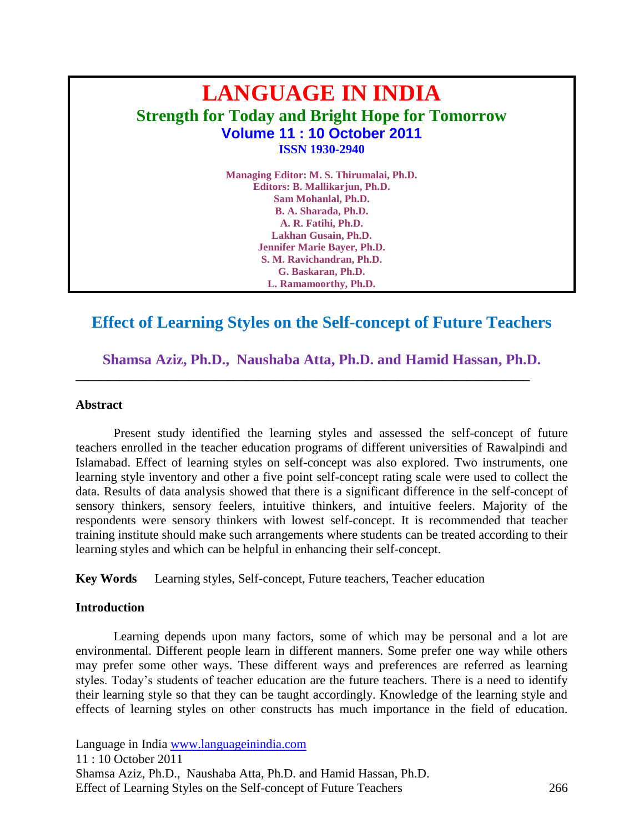# **LANGUAGE IN INDIA Strength for Today and Bright Hope for Tomorrow Volume 11 : 10 October 2011 ISSN 1930-2940**

**Managing Editor: M. S. Thirumalai, Ph.D. Editors: B. Mallikarjun, Ph.D. Sam Mohanlal, Ph.D. B. A. Sharada, Ph.D. A. R. Fatihi, Ph.D. Lakhan Gusain, Ph.D. Jennifer Marie Bayer, Ph.D. S. M. Ravichandran, Ph.D. G. Baskaran, Ph.D. L. Ramamoorthy, Ph.D.**

# **Effect of Learning Styles on the Self-concept of Future Teachers**

**Shamsa Aziz, Ph.D., Naushaba Atta, Ph.D. and Hamid Hassan, Ph.D.**

**\_\_\_\_\_\_\_\_\_\_\_\_\_\_\_\_\_\_\_\_\_\_\_\_\_\_\_\_\_\_\_\_\_\_\_\_\_\_\_\_\_\_\_\_\_\_\_\_\_\_\_\_\_\_\_\_\_\_\_\_\_\_\_\_\_\_\_\_\_\_\_\_**

#### **Abstract**

Present study identified the learning styles and assessed the self-concept of future teachers enrolled in the teacher education programs of different universities of Rawalpindi and Islamabad. Effect of learning styles on self-concept was also explored. Two instruments, one learning style inventory and other a five point self-concept rating scale were used to collect the data. Results of data analysis showed that there is a significant difference in the self-concept of sensory thinkers, sensory feelers, intuitive thinkers, and intuitive feelers. Majority of the respondents were sensory thinkers with lowest self-concept. It is recommended that teacher training institute should make such arrangements where students can be treated according to their learning styles and which can be helpful in enhancing their self-concept.

**Key Words** Learning styles, Self-concept, Future teachers, Teacher education

#### **Introduction**

Learning depends upon many factors, some of which may be personal and a lot are environmental. Different people learn in different manners. Some prefer one way while others may prefer some other ways. These different ways and preferences are referred as learning styles. Today"s students of teacher education are the future teachers. There is a need to identify their learning style so that they can be taught accordingly. Knowledge of the learning style and effects of learning styles on other constructs has much importance in the field of education.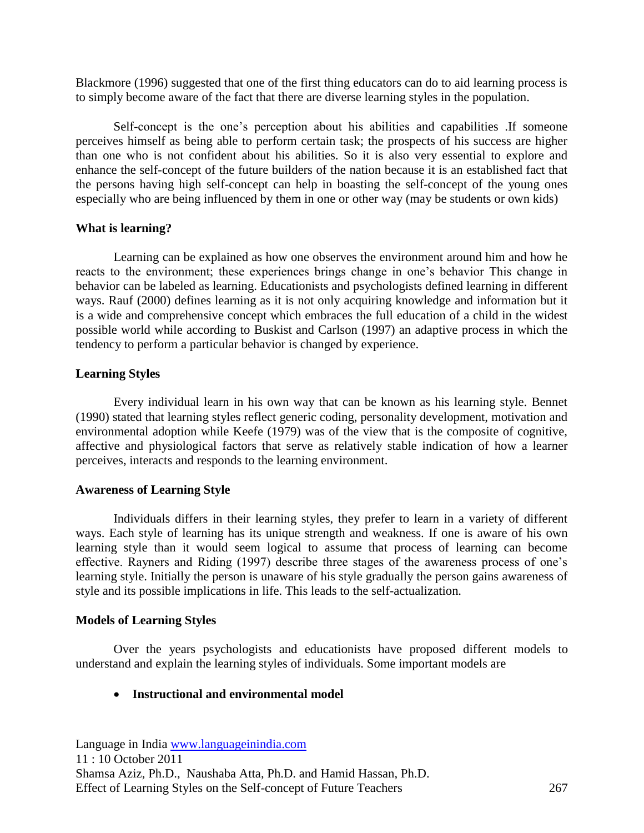Blackmore (1996) suggested that one of the first thing educators can do to aid learning process is to simply become aware of the fact that there are diverse learning styles in the population.

Self-concept is the one"s perception about his abilities and capabilities .If someone perceives himself as being able to perform certain task; the prospects of his success are higher than one who is not confident about his abilities. So it is also very essential to explore and enhance the self-concept of the future builders of the nation because it is an established fact that the persons having high self-concept can help in boasting the self-concept of the young ones especially who are being influenced by them in one or other way (may be students or own kids)

## **What is learning?**

Learning can be explained as how one observes the environment around him and how he reacts to the environment; these experiences brings change in one"s behavior This change in behavior can be labeled as learning. Educationists and psychologists defined learning in different ways. Rauf (2000) defines learning as it is not only acquiring knowledge and information but it is a wide and comprehensive concept which embraces the full education of a child in the widest possible world while according to Buskist and Carlson (1997) an adaptive process in which the tendency to perform a particular behavior is changed by experience.

## **Learning Styles**

Every individual learn in his own way that can be known as his learning style. Bennet (1990) stated that learning styles reflect generic coding, personality development, motivation and environmental adoption while Keefe (1979) was of the view that is the composite of cognitive, affective and physiological factors that serve as relatively stable indication of how a learner perceives, interacts and responds to the learning environment.

#### **Awareness of Learning Style**

Individuals differs in their learning styles, they prefer to learn in a variety of different ways. Each style of learning has its unique strength and weakness. If one is aware of his own learning style than it would seem logical to assume that process of learning can become effective. Rayners and Riding (1997) describe three stages of the awareness process of one"s learning style. Initially the person is unaware of his style gradually the person gains awareness of style and its possible implications in life. This leads to the self-actualization.

## **Models of Learning Styles**

Over the years psychologists and educationists have proposed different models to understand and explain the learning styles of individuals. Some important models are

## **Instructional and environmental model**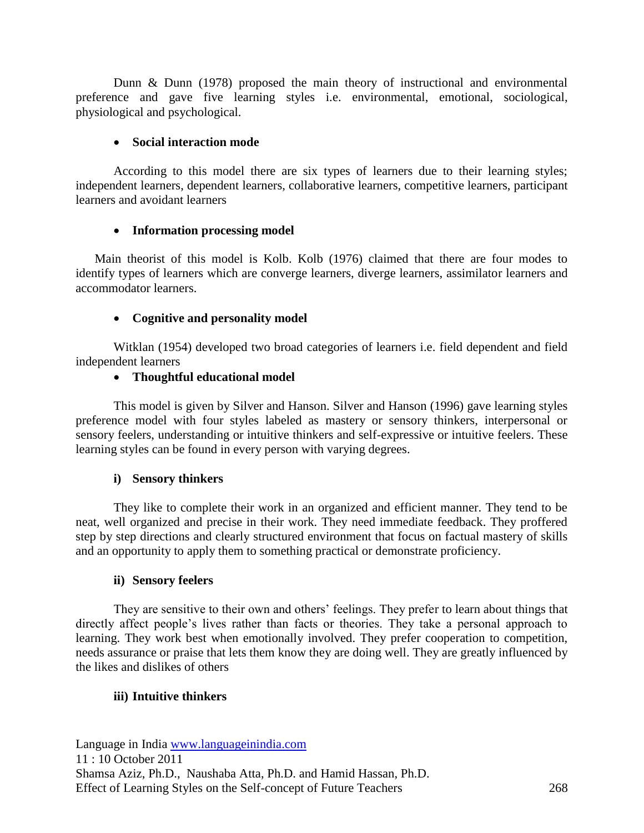Dunn & Dunn (1978) proposed the main theory of instructional and environmental preference and gave five learning styles i.e. environmental, emotional, sociological, physiological and psychological.

## **Social interaction mode**

According to this model there are six types of learners due to their learning styles; independent learners, dependent learners, collaborative learners, competitive learners, participant learners and avoidant learners

## **Information processing model**

Main theorist of this model is Kolb. Kolb (1976) claimed that there are four modes to identify types of learners which are converge learners, diverge learners, assimilator learners and accommodator learners.

# **Cognitive and personality model**

Witklan (1954) developed two broad categories of learners i.e. field dependent and field independent learners

## **Thoughtful educational model**

This model is given by Silver and Hanson. Silver and Hanson (1996) gave learning styles preference model with four styles labeled as mastery or sensory thinkers, interpersonal or sensory feelers, understanding or intuitive thinkers and self-expressive or intuitive feelers. These learning styles can be found in every person with varying degrees.

# **i) Sensory thinkers**

They like to complete their work in an organized and efficient manner. They tend to be neat, well organized and precise in their work. They need immediate feedback. They proffered step by step directions and clearly structured environment that focus on factual mastery of skills and an opportunity to apply them to something practical or demonstrate proficiency.

## **ii) Sensory feelers**

They are sensitive to their own and others' feelings. They prefer to learn about things that directly affect people's lives rather than facts or theories. They take a personal approach to learning. They work best when emotionally involved. They prefer cooperation to competition, needs assurance or praise that lets them know they are doing well. They are greatly influenced by the likes and dislikes of others

# **iii) Intuitive thinkers**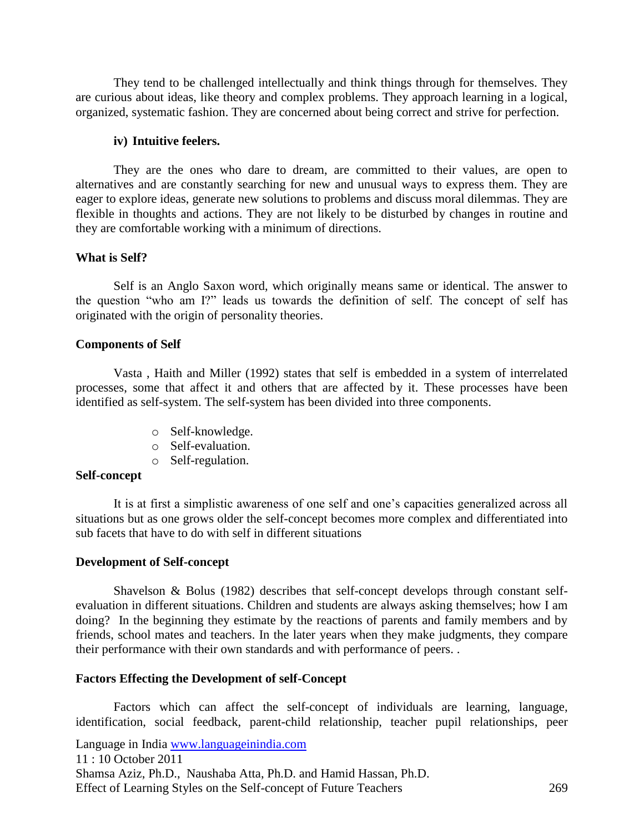They tend to be challenged intellectually and think things through for themselves. They are curious about ideas, like theory and complex problems. They approach learning in a logical, organized, systematic fashion. They are concerned about being correct and strive for perfection.

#### **iv) Intuitive feelers.**

They are the ones who dare to dream, are committed to their values, are open to alternatives and are constantly searching for new and unusual ways to express them. They are eager to explore ideas, generate new solutions to problems and discuss moral dilemmas. They are flexible in thoughts and actions. They are not likely to be disturbed by changes in routine and they are comfortable working with a minimum of directions.

#### **What is Self?**

Self is an Anglo Saxon word, which originally means same or identical. The answer to the question "who am I?" leads us towards the definition of self. The concept of self has originated with the origin of personality theories.

#### **Components of Self**

Vasta , Haith and Miller (1992) states that self is embedded in a system of interrelated processes, some that affect it and others that are affected by it. These processes have been identified as self-system. The self-system has been divided into three components.

- o Self-knowledge.
- o Self-evaluation.
- o Self-regulation.

#### **Self-concept**

It is at first a simplistic awareness of one self and one"s capacities generalized across all situations but as one grows older the self-concept becomes more complex and differentiated into sub facets that have to do with self in different situations

#### **Development of Self-concept**

Shavelson & Bolus (1982) describes that self-concept develops through constant selfevaluation in different situations. Children and students are always asking themselves; how I am doing? In the beginning they estimate by the reactions of parents and family members and by friends, school mates and teachers. In the later years when they make judgments, they compare their performance with their own standards and with performance of peers. .

#### **Factors Effecting the Development of self-Concept**

Factors which can affect the self-concept of individuals are learning, language, identification, social feedback, parent-child relationship, teacher pupil relationships, peer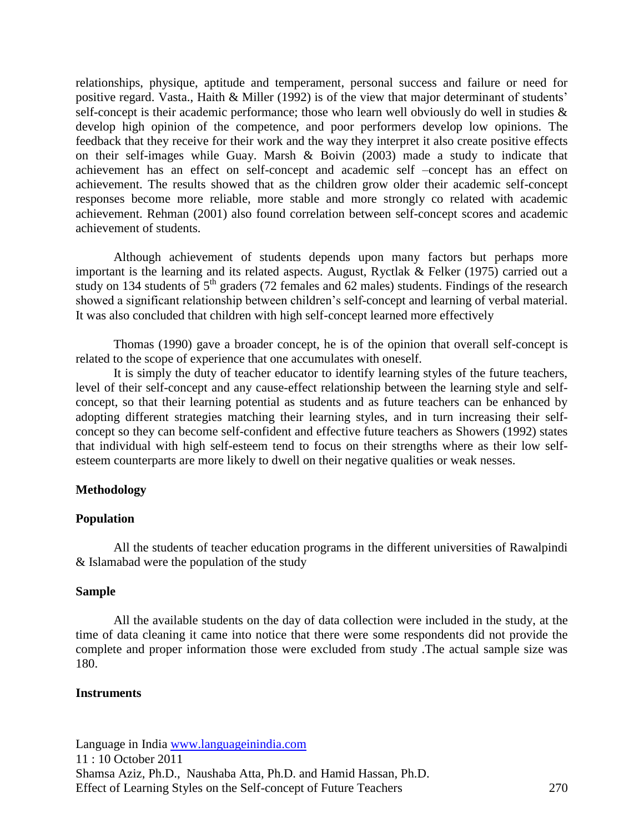relationships, physique, aptitude and temperament, personal success and failure or need for positive regard. Vasta., Haith & Miller (1992) is of the view that major determinant of students' self-concept is their academic performance; those who learn well obviously do well in studies  $\&$ develop high opinion of the competence, and poor performers develop low opinions. The feedback that they receive for their work and the way they interpret it also create positive effects on their self-images while Guay. Marsh & Boivin (2003) made a study to indicate that achievement has an effect on self-concept and academic self –concept has an effect on achievement. The results showed that as the children grow older their academic self-concept responses become more reliable, more stable and more strongly co related with academic achievement. Rehman (2001) also found correlation between self-concept scores and academic achievement of students.

Although achievement of students depends upon many factors but perhaps more important is the learning and its related aspects. August, Ryctlak & Felker (1975) carried out a study on 134 students of  $5<sup>th</sup>$  graders (72 females and 62 males) students. Findings of the research showed a significant relationship between children's self-concept and learning of verbal material. It was also concluded that children with high self-concept learned more effectively

Thomas (1990) gave a broader concept, he is of the opinion that overall self-concept is related to the scope of experience that one accumulates with oneself.

It is simply the duty of teacher educator to identify learning styles of the future teachers, level of their self-concept and any cause-effect relationship between the learning style and selfconcept, so that their learning potential as students and as future teachers can be enhanced by adopting different strategies matching their learning styles, and in turn increasing their selfconcept so they can become self-confident and effective future teachers as Showers (1992) states that individual with high self-esteem tend to focus on their strengths where as their low selfesteem counterparts are more likely to dwell on their negative qualities or weak nesses.

## **Methodology**

#### **Population**

All the students of teacher education programs in the different universities of Rawalpindi & Islamabad were the population of the study

#### **Sample**

All the available students on the day of data collection were included in the study, at the time of data cleaning it came into notice that there were some respondents did not provide the complete and proper information those were excluded from study .The actual sample size was 180.

#### **Instruments**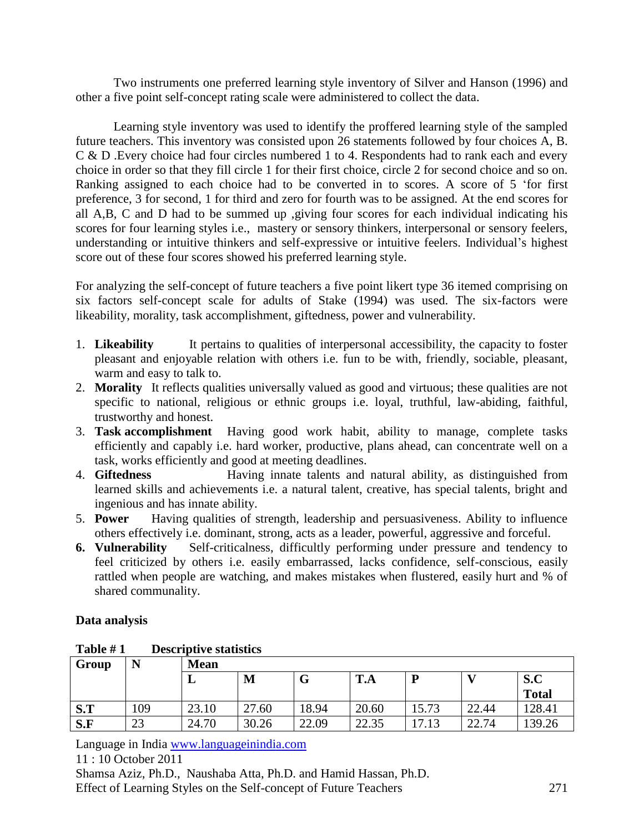Two instruments one preferred learning style inventory of Silver and Hanson (1996) and other a five point self-concept rating scale were administered to collect the data.

Learning style inventory was used to identify the proffered learning style of the sampled future teachers. This inventory was consisted upon 26 statements followed by four choices A, B. C & D .Every choice had four circles numbered 1 to 4. Respondents had to rank each and every choice in order so that they fill circle 1 for their first choice, circle 2 for second choice and so on. Ranking assigned to each choice had to be converted in to scores. A score of 5 "for first preference, 3 for second, 1 for third and zero for fourth was to be assigned. At the end scores for all A,B, C and D had to be summed up ,giving four scores for each individual indicating his scores for four learning styles i.e., mastery or sensory thinkers, interpersonal or sensory feelers, understanding or intuitive thinkers and self-expressive or intuitive feelers. Individual"s highest score out of these four scores showed his preferred learning style.

For analyzing the self-concept of future teachers a five point likert type 36 itemed comprising on six factors self-concept scale for adults of Stake (1994) was used. The six-factors were likeability, morality, task accomplishment, giftedness, power and vulnerability.

- 1. **Likeability** It pertains to qualities of interpersonal accessibility, the capacity to foster pleasant and enjoyable relation with others i.e. fun to be with, friendly, sociable, pleasant, warm and easy to talk to.
- 2. **Morality** It reflects qualities universally valued as good and virtuous; these qualities are not specific to national, religious or ethnic groups i.e. loyal, truthful, law-abiding, faithful, trustworthy and honest.
- 3. **Task accomplishment** Having good work habit, ability to manage, complete tasks efficiently and capably i.e. hard worker, productive, plans ahead, can concentrate well on a task, works efficiently and good at meeting deadlines.
- 4. **Giftedness** Having innate talents and natural ability, as distinguished from learned skills and achievements i.e. a natural talent, creative, has special talents, bright and ingenious and has innate ability.
- 5. **Power** Having qualities of strength, leadership and persuasiveness. Ability to influence others effectively i.e. dominant, strong, acts as a leader, powerful, aggressive and forceful.
- **6. Vulnerability** Self-criticalness, difficultly performing under pressure and tendency to feel criticized by others i.e. easily embarrassed, lacks confidence, self-conscious, easily rattled when people are watching, and makes mistakes when flustered, easily hurt and % of shared communality.

# **Data analysis**

| Group |     | <b>Mean</b> |       |       |       |       |       |                     |
|-------|-----|-------------|-------|-------|-------|-------|-------|---------------------|
|       |     | ┻           | M     | v     | T.A   | D     |       | S.C<br><b>Total</b> |
| S.T   | 109 | 23.10       | 27.60 | 18.94 | 20.60 | 15.73 | 22.44 | 128.41              |
| S.F   | 23  | 24.70       | 30.26 | 22.09 | 22.35 | 17.13 | 22.74 | 139.26              |

# **Table # 1 Descriptive statistics**

Language in India [www.languageinindia.com](http://www.languageinindia.com/)

11 : 10 October 2011

Shamsa Aziz, Ph.D., Naushaba Atta, Ph.D. and Hamid Hassan, Ph.D. Effect of Learning Styles on the Self-concept of Future Teachers 271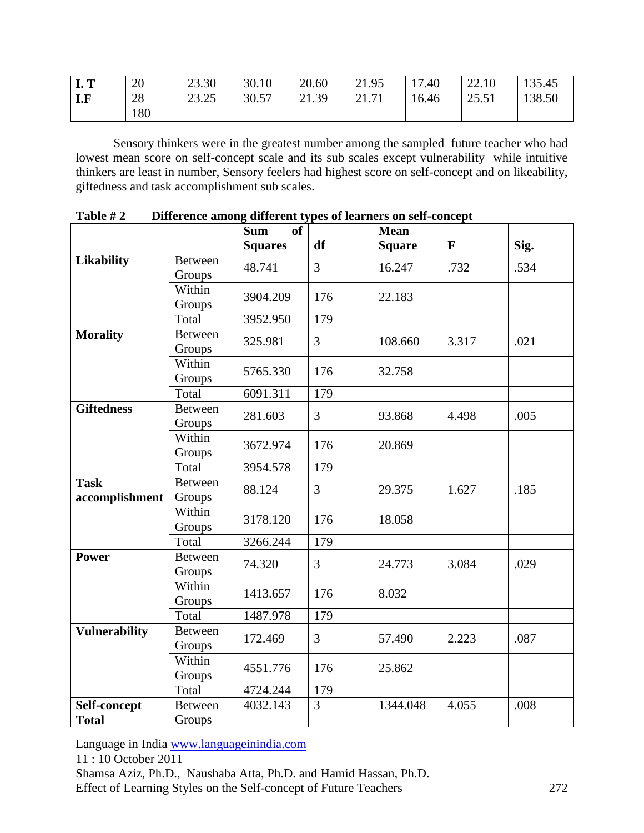| m<br>T. T | 20  | 23.30            | 30.10 | 20.60                  | 21.95                      | $^{\prime}.40$<br>$1 -$ | 22.10        | 135.45 |
|-----------|-----|------------------|-------|------------------------|----------------------------|-------------------------|--------------|--------|
| I.F       | 28  | 22.25<br>رے کی ب | 30.57 | 21.39<br>$\bigwedge$ 1 | 71<br>$\bigcap$ 1<br>21.71 | 16.46                   | 255<br>20.01 | 138.50 |
|           | 180 |                  |       |                        |                            |                         |              |        |

Sensory thinkers were in the greatest number among the sampled future teacher who had lowest mean score on self-concept scale and its sub scales except vulnerability while intuitive thinkers are least in number, Sensory feelers had highest score on self-concept and on likeability, giftedness and task accomplishment sub scales.

|                               |                          | <b>Sum</b><br><b>of</b> | df             | <b>Mean</b>   | $\mathbf{F}$ |      |
|-------------------------------|--------------------------|-------------------------|----------------|---------------|--------------|------|
|                               | <b>Between</b>           | <b>Squares</b>          |                | <b>Square</b> |              | Sig. |
| <b>Likability</b>             | Groups                   | 48.741                  | $\overline{3}$ | 16.247        | .732         | .534 |
|                               | Within<br>Groups         | 3904.209                | 176            | 22.183        |              |      |
|                               | Total                    | 3952.950                | 179            |               |              |      |
| <b>Morality</b>               | <b>Between</b><br>Groups | 325.981                 | 3              | 108.660       | 3.317        | .021 |
|                               | Within<br>Groups         | 5765.330                | 176            | 32.758        |              |      |
|                               | Total                    | 6091.311                | 179            |               |              |      |
| <b>Giftedness</b>             | <b>Between</b><br>Groups | 281.603                 | $\overline{3}$ | 93.868        | 4.498        | .005 |
|                               | Within<br>Groups         | 3672.974                | 176            | 20.869        |              |      |
|                               | Total                    | 3954.578                | 179            |               |              |      |
| <b>Task</b><br>accomplishment | <b>Between</b><br>Groups | 88.124                  | 3              | 29.375        | 1.627        | .185 |
|                               | Within<br>Groups         | 3178.120                | 176            | 18.058        |              |      |
|                               | Total                    | 3266.244                | 179            |               |              |      |
| <b>Power</b>                  | <b>Between</b><br>Groups | 74.320                  | 3              | 24.773        | 3.084        | .029 |
|                               | Within<br>Groups         | 1413.657                | 176            | 8.032         |              |      |
|                               | Total                    | 1487.978                | 179            |               |              |      |
| <b>Vulnerability</b>          | <b>Between</b><br>Groups | 172.469                 | 3              | 57.490        | 2.223        | .087 |
|                               | Within<br>Groups         | 4551.776                | 176            | 25.862        |              |      |
|                               | Total                    | 4724.244                | 179            |               |              |      |
| Self-concept<br><b>Total</b>  | <b>Between</b><br>Groups | 4032.143                | 3              | 1344.048      | 4.055        | .008 |

**Table # 2 Difference among different types of learners on self-concept**

Language in India [www.languageinindia.com](http://www.languageinindia.com/)

11 : 10 October 2011

Shamsa Aziz, Ph.D., Naushaba Atta, Ph.D. and Hamid Hassan, Ph.D. Effect of Learning Styles on the Self-concept of Future Teachers 272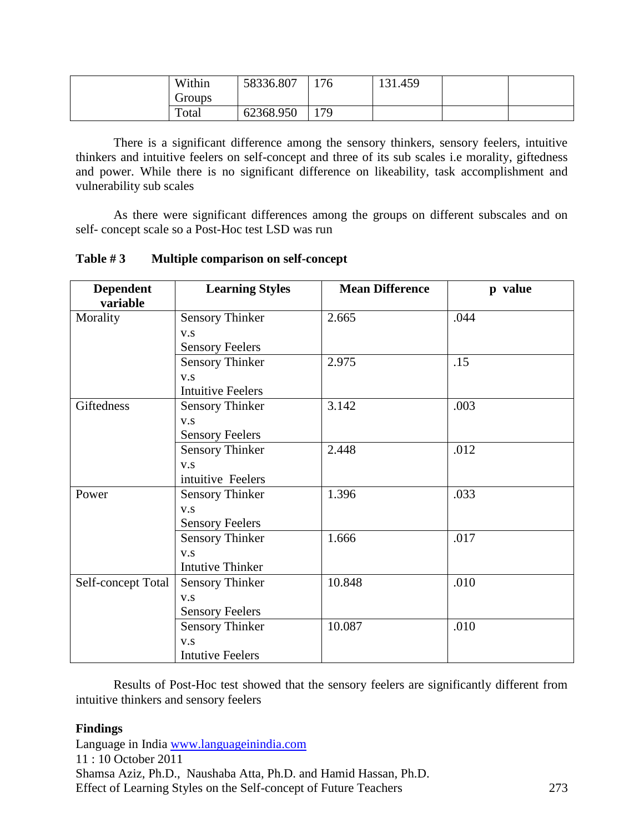| Within        | 58336.807 | 176 | 131.459 |  |
|---------------|-----------|-----|---------|--|
| <b>Groups</b> |           |     |         |  |
| Total         | 62368.950 | 179 |         |  |

There is a significant difference among the sensory thinkers, sensory feelers, intuitive thinkers and intuitive feelers on self-concept and three of its sub scales i.e morality, giftedness and power. While there is no significant difference on likeability, task accomplishment and vulnerability sub scales

As there were significant differences among the groups on different subscales and on self- concept scale so a Post-Hoc test LSD was run

| <b>Dependent</b><br>variable | <b>Learning Styles</b>   | <b>Mean Difference</b> | p value |
|------------------------------|--------------------------|------------------------|---------|
| Morality                     | <b>Sensory Thinker</b>   | 2.665                  | .044    |
|                              | V.S                      |                        |         |
|                              | <b>Sensory Feelers</b>   |                        |         |
|                              | <b>Sensory Thinker</b>   | 2.975                  | .15     |
|                              | V.S                      |                        |         |
|                              | <b>Intuitive Feelers</b> |                        |         |
| Giftedness                   | <b>Sensory Thinker</b>   | 3.142                  | .003    |
|                              | V.S                      |                        |         |
|                              | <b>Sensory Feelers</b>   |                        |         |
|                              | <b>Sensory Thinker</b>   | 2.448                  | .012    |
|                              | V.S                      |                        |         |
|                              | intuitive Feelers        |                        |         |
| Power                        | <b>Sensory Thinker</b>   | 1.396                  | .033    |
|                              | V.S                      |                        |         |
|                              | <b>Sensory Feelers</b>   |                        |         |
|                              | <b>Sensory Thinker</b>   | 1.666                  | .017    |
|                              | V.S                      |                        |         |
|                              | <b>Intutive Thinker</b>  |                        |         |
| Self-concept Total           | <b>Sensory Thinker</b>   | 10.848                 | .010    |
|                              | V.S                      |                        |         |
|                              | <b>Sensory Feelers</b>   |                        |         |
|                              | <b>Sensory Thinker</b>   | 10.087                 | .010    |
|                              | V.S                      |                        |         |
|                              | <b>Intutive Feelers</b>  |                        |         |

**Table # 3 Multiple comparison on self-concept**

Results of Post-Hoc test showed that the sensory feelers are significantly different from intuitive thinkers and sensory feelers

# **Findings**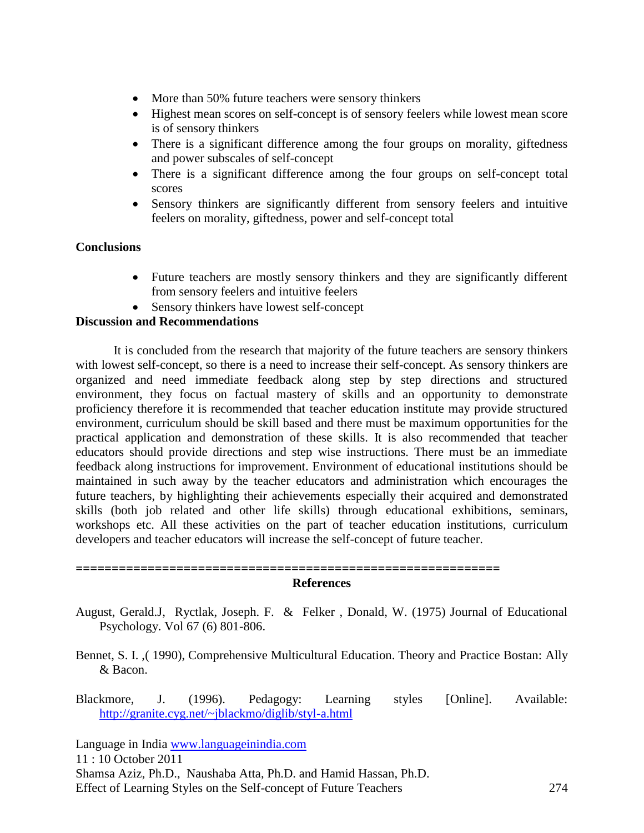- More than 50% future teachers were sensory thinkers
- Highest mean scores on self-concept is of sensory feelers while lowest mean score is of sensory thinkers
- There is a significant difference among the four groups on morality, giftedness and power subscales of self-concept
- There is a significant difference among the four groups on self-concept total scores
- Sensory thinkers are significantly different from sensory feelers and intuitive feelers on morality, giftedness, power and self-concept total

## **Conclusions**

- Future teachers are mostly sensory thinkers and they are significantly different from sensory feelers and intuitive feelers
- Sensory thinkers have lowest self-concept

## **Discussion and Recommendations**

It is concluded from the research that majority of the future teachers are sensory thinkers with lowest self-concept, so there is a need to increase their self-concept. As sensory thinkers are organized and need immediate feedback along step by step directions and structured environment, they focus on factual mastery of skills and an opportunity to demonstrate proficiency therefore it is recommended that teacher education institute may provide structured environment, curriculum should be skill based and there must be maximum opportunities for the practical application and demonstration of these skills. It is also recommended that teacher educators should provide directions and step wise instructions. There must be an immediate feedback along instructions for improvement. Environment of educational institutions should be maintained in such away by the teacher educators and administration which encourages the future teachers, by highlighting their achievements especially their acquired and demonstrated skills (both job related and other life skills) through educational exhibitions, seminars, workshops etc. All these activities on the part of teacher education institutions, curriculum developers and teacher educators will increase the self-concept of future teacher.

**=========================================================== References**

- August, Gerald.J, Ryctlak, Joseph. F. & Felker , Donald, W. (1975) Journal of Educational Psychology. Vol 67 (6) 801-806.
- Bennet, S. I. ,( 1990), Comprehensive Multicultural Education. Theory and Practice Bostan: Ally & Bacon.
- Blackmore, J. (1996). Pedagogy: Learning styles [Online]. Available: <http://granite.cyg.net/~jblackmo/diglib/styl-a.html>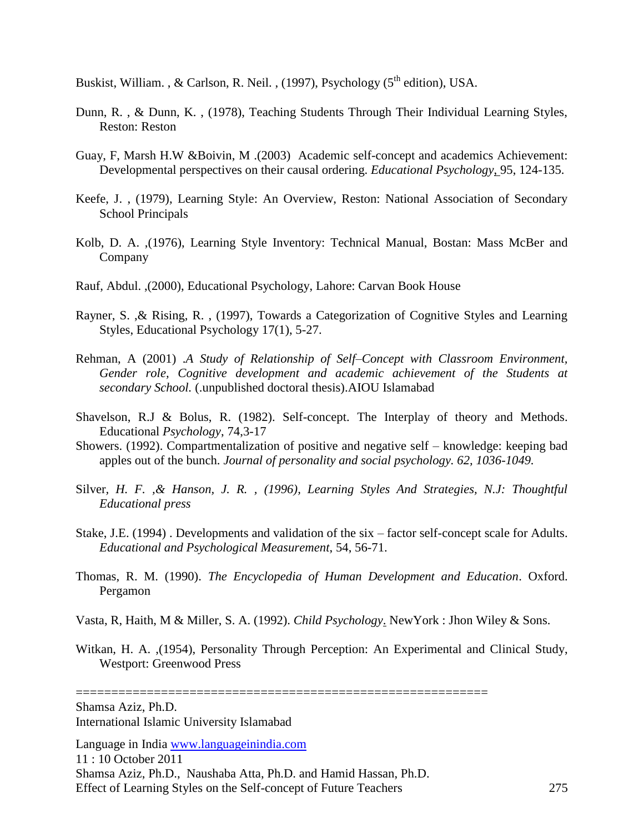Buskist, William. , & Carlson, R. Neil. , (1997), Psychology  $(5<sup>th</sup>$  edition), USA.

- Dunn, R. , & Dunn, K. , (1978), Teaching Students Through Their Individual Learning Styles, Reston: Reston
- Guay, F, Marsh H.W &Boivin, M .(2003) Academic self-concept and academics Achievement: Developmental perspectives on their causal ordering. *Educational Psychology*, 95, 124-135.
- Keefe, J. , (1979), Learning Style: An Overview, Reston: National Association of Secondary School Principals
- Kolb, D. A. ,(1976), Learning Style Inventory: Technical Manual, Bostan: Mass McBer and Company
- Rauf, Abdul. ,(2000), Educational Psychology, Lahore: Carvan Book House
- Rayner, S. ,& Rising, R. , (1997), Towards a Categorization of Cognitive Styles and Learning Styles, Educational Psychology 17(1), 5-27.
- Rehman, A (2001) .*A Study of Relationship of Self–Concept with Classroom Environment, Gender role, Cognitive development and academic achievement of the Students at secondary School.* (.unpublished doctoral thesis).AIOU Islamabad
- Shavelson, R.J & Bolus, R. (1982). Self-concept. The Interplay of theory and Methods. Educational *Psychology*, 74,3-17
- Showers. (1992). Compartmentalization of positive and negative self knowledge: keeping bad apples out of the bunch. *Journal of personality and social psychology. 62, 1036-1049.*
- Silver*, H. F. ,& Hanson, J. R. , (1996), Learning Styles And Strategies, N.J: Thoughtful Educational press*
- Stake, J.E. (1994) . Developments and validation of the six factor self-concept scale for Adults. *Educational and Psychological Measurement*, 54, 56-71.
- Thomas, R. M. (1990). *The Encyclopedia of Human Development and Education*. Oxford. Pergamon
- Vasta, R, Haith, M & Miller, S. A. (1992). *Child Psychology*. NewYork : Jhon Wiley & Sons.
- Witkan, H. A. ,(1954), Personality Through Perception: An Experimental and Clinical Study, Westport: Greenwood Press

==========================================================

Shamsa Aziz, Ph.D. International Islamic University Islamabad